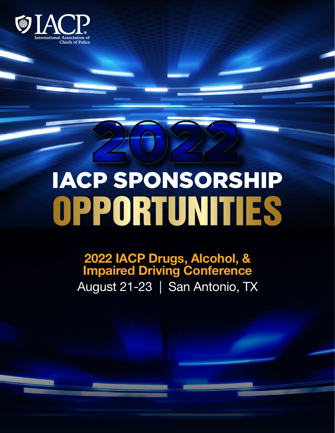

# $(0)$ IACP SPONSORSHIP OPPORTUNITIES

# 2022 IACP Drugs, Alcohol, & Impaired Driving Conference August 21-23 | San Antonio, TX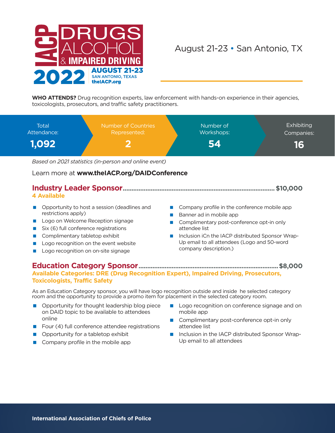

# August 21-23 • San Antonio, TX

**WHO ATTENDS?** Drug recognition experts, law enforcement with hands-on experience in their agencies, toxicologists, prosecutors, and traffic safety practitioners.



Learn more at **[www.theIACP.org/DAIDConference](http://www.theIACP.org/DAIDConference)**

### **Industry Leader Sponsor.......................................................................................\$10,000**

#### **4 Available**

- Opportunity to host a session (deadlines and restrictions apply)
- **Logo on Welcome Reception signage**
- $Six(6)$  full conference registrations
- Complimentary tabletop exhibit
- **Logo recognition on the event website**
- **Logo recognition on on-site signage**
- Company profile in the conference mobile app
- Banner ad in mobile app
- Complimentary post-conference opt-in only attendee list
- Inclusion iCn the IACP distributed Sponsor Wrap-Up email to all attendees (Logo and 50-word company description.)

#### **Education Category Sponsor................................................................................\$8,000 Available Categories: DRE (Drug Recognition Expert), Impaired Driving, Prosecutors, Toxicologists, Traffic Safety**

As an Education Category sponsor, you will have logo recognition outside and inside he selected category room and the opportunity to provide a promo item for placement in the selected category room.

- Opportunity for thought leadership blog piece on DAID topic to be available to attendees online
- Four  $(4)$  full conference attendee registrations
- Opportunity for a tabletop exhibit
- $\Box$  Company profile in the mobile app
- **Logo recognition on conference signage and on** mobile app
- Complimentary post-conference opt-in only attendee list
- Inclusion in the IACP distributed Sponsor Wrap-Up email to all attendees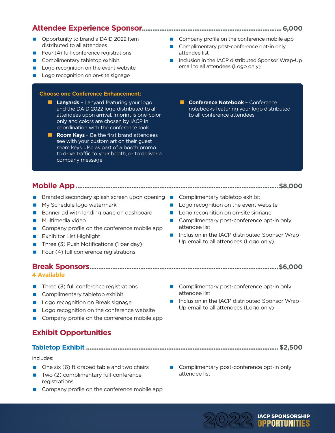# **Attendee Experience Sponsor................................................................................6,000**

- Opportunity to brand a DAID 2022 Item distributed to all attendees
- Four (4) full-conference registrations
- **Complimentary tabletop exhibit**
- **Logo recognition on the event website**
- **Logo recognition on on-site signage**

#### **Choose one Conference Enhancement:**

- **Lanyards** Lanyard featuring your logo and the DAID 2022 logo distributed to all attendees upon arrival. Imprint is one-color only and colors are chosen by IACP in coordination with the conference look
- **Room Keys** Be the first brand attendees see with your custom art on their guest room keys. Use as part of a booth promo to drive traffic to your booth, or to deliver a company message
- Company profile on the conference mobile app
- Complimentary post-conference opt-in only attendee list
- Inclusion in the IACP distributed Sponsor Wrap-Up email to all attendees (Logo only)
	- **Conference Notebook** Conference notebooks featuring your logo distributed to all conference attendees

# **Mobile App....................................................................................................................\$8,000**

- Branded secondary splash screen upon opening Complimentary tabletop exhibit
- My Schedule logo watermark
- Banner ad with landing page on dashboard
- **Multimedia video**
- Company profile on the conference mobile app
- **Exhibitor List Highlight**
- Three  $(3)$  Push Notifications (1 per day)
- Four  $(4)$  full conference registrations

#### **Break Sponsors............................................................................................................\$6,000**

#### **4 Available**

- $\blacksquare$  Three (3) full conference registrations
- Complimentary tabletop exhibit
- **Logo recognition on Break signage**
- **Logo recognition on the conference website**
- Company profile on the conference mobile app

## **Exhibit Opportunities**

#### **Tabletop Exhibit .............................................................................................................. \$2,500**

#### Includes:

- $\Box$  One six (6) ft draped table and two chairs
- $\blacksquare$  Two (2) complimentary full-conference registrations
- Company profile on the conference mobile app
- Complimentary post-conference opt-in only attendee list
- Inclusion in the IACP distributed Sponsor Wrap-Up email to all attendees (Logo only)

Complimentary post-conference opt-in only attendee list

2022 IACP SPONSORSHIP<br>**OPPORTUNITIES** 



- 
- 
- **Logo recognition on the event website**
- Complimentary post-conference opt-in only attendee list
- Inclusion in the IACP distributed Sponsor Wrap-Up email to all attendees (Logo only)
- 
- 
- **Logo recognition on on-site signage**
- 
-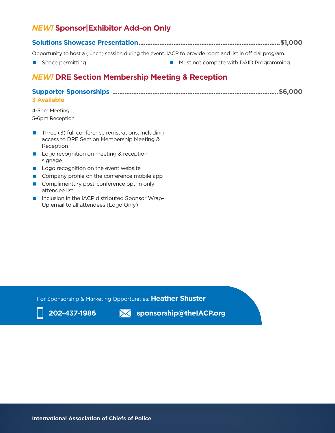# *NEW!* **Sponsor|Exhibitor Add-on Only**

**Solutions Showcase Presentation.................................................................................\$1,000**

Opportunity to host a (lunch) session during the event. IACP to provide room and list in official program.

**Space permitting Transformation Compete with DAID Programming** 

# *NEW!* **DRE Section Membership Meeting & Reception**

#### **Supporter Sponsorships ...............................................................................................\$6,000 3 Available**

4-5pm Meeting 5-6pm Reception

- $\blacksquare$  Three (3) full conference registrations, Including access to DRE Section Membership Meeting & Reception
- **Logo recognition on meeting & reception** signage
- **Logo recognition on the event website**
- Company profile on the conference mobile app
- Complimentary post-conference opt-in only attendee list
- **Inclusion in the IACP distributed Sponsor Wrap-**Up email to all attendees (Logo Only)

For Sponsorship & Marketing Opportunities: **Heather Shuster**



**202-437-1986 sponsorship@theIACP.org**